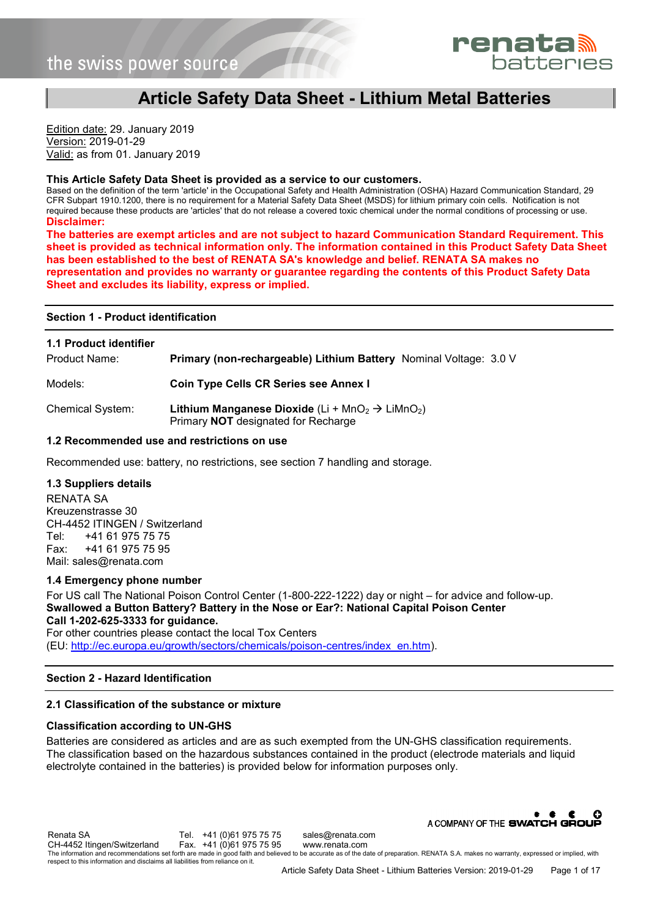

# **Article Safety Data Sheet - Lithium Metal Batteries**

Edition date: 29. January 2019 Version: 2019-01-29 Valid: as from 01. January 2019

#### **This Article Safety Data Sheet is provided as a service to our customers.**

Based on the definition of the term 'article' in the Occupational Safety and Health Administration (OSHA) Hazard Communication Standard, 29 CFR Subpart 1910.1200, there is no requirement for a Material Safety Data Sheet (MSDS) for lithium primary coin cells. Notification is not required because these products are 'articles' that do not release a covered toxic chemical under the normal conditions of processing or use. **Disclaimer:** 

**The batteries are exempt articles and are not subject to hazard Communication Standard Requirement. This sheet is provided as technical information only. The information contained in this Product Safety Data Sheet has been established to the best of RENATA SA's knowledge and belief. RENATA SA makes no representation and provides no warranty or guarantee regarding the contents of this Product Safety Data Sheet and excludes its liability, express or implied.** 

#### **Section 1 - Product identification**

| <b>1.1 Product identifier</b><br>Product Name: | Primary (non-rechargeable) Lithium Battery Nominal Voltage: 3.0 V                                                                        |
|------------------------------------------------|------------------------------------------------------------------------------------------------------------------------------------------|
| Models:                                        | Coin Type Cells CR Series see Annex I                                                                                                    |
| <b>Chemical System:</b>                        | <b>Lithium Manganese Dioxide</b> (Li + MnO <sub>2</sub> $\rightarrow$ LiMnO <sub>2</sub> )<br>Primary <b>NOT</b> designated for Recharge |

## **1.2 Recommended use and restrictions on use**

Recommended use: battery, no restrictions, see section 7 handling and storage.

#### **1.3 Suppliers details**

RENATA SA Kreuzenstrasse 30 CH-4452 ITINGEN / Switzerland Tel: +41 61 975 75 75 Fax: +41 61 975 75 95 Mail: sales@renata.com

## **1.4 Emergency phone number**

For US call The National Poison Control Center (1-800-222-1222) day or night – for advice and follow-up. **Swallowed a Button Battery? Battery in the Nose or Ear?: National Capital Poison Center Call 1-202-625-3333 for guidance.**  For other countries please contact the local Tox Centers

(EU: [http://ec.europa.eu/growth/sectors/chemicals/poison-centres/index\\_en.htm\)](http://ec.europa.eu/growth/sectors/chemicals/poison-centres/index_en.htm).

## **Section 2 - Hazard Identification**

## **2.1 Classification of the substance or mixture**

## **Classification according to UN-GHS**

Batteries are considered as articles and are as such exempted from the UN-GHS classification requirements. The classification based on the hazardous substances contained in the product (electrode materials and liquid electrolyte contained in the batteries) is provided below for information purposes only.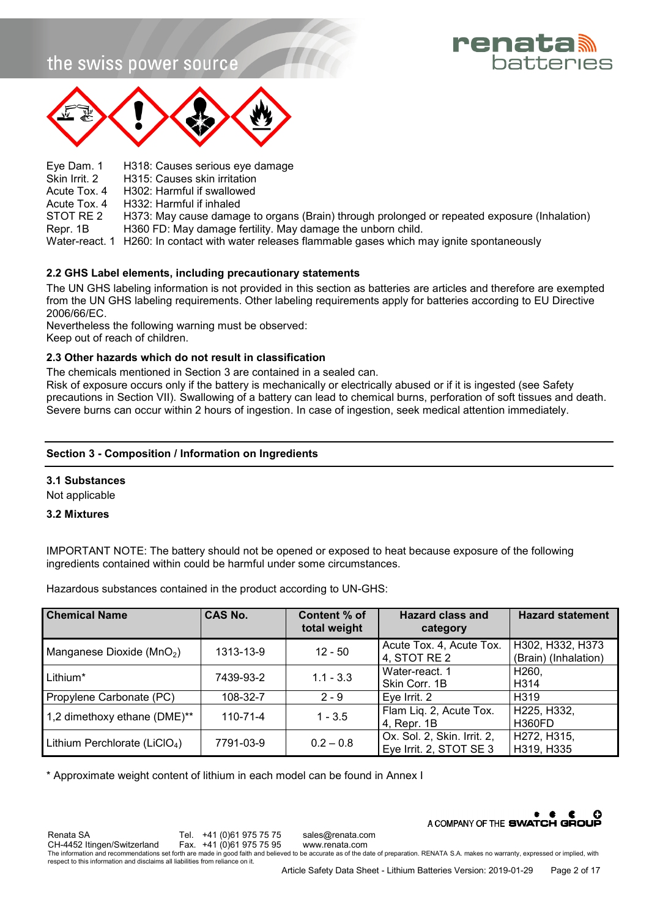



Eye Dam. 1 H318: Causes serious eye damage<br>Skin Irrit. 2 H315: Causes skin irritation H315: Causes skin irritation Acute Tox. 4 H302: Harmful if swallowed Acute Tox. 4 H332: Harmful if inhaled<br>STOT RE 2 H373: May cause damage H373: May cause damage to organs (Brain) through prolonged or repeated exposure (Inhalation) Repr. 1B H360 FD: May damage fertility. May damage the unborn child. Water-react. 1 H260: In contact with water releases flammable gases which may ignite spontaneously

## **2.2 GHS Label elements, including precautionary statements**

The UN GHS labeling information is not provided in this section as batteries are articles and therefore are exempted from the UN GHS labeling requirements. Other labeling requirements apply for batteries according to EU Directive 2006/66/EC.

Nevertheless the following warning must be observed:

Keep out of reach of children.

## **2.3 Other hazards which do not result in classification**

The chemicals mentioned in Section 3 are contained in a sealed can.

Risk of exposure occurs only if the battery is mechanically or electrically abused or if it is ingested (see Safety precautions in Section VII). Swallowing of a battery can lead to chemical burns, perforation of soft tissues and death. Severe burns can occur within 2 hours of ingestion. In case of ingestion, seek medical attention immediately.

## **Section 3 - Composition / Information on Ingredients**

## **3.1 Substances**

Not applicable

## **3.2 Mixtures**

IMPORTANT NOTE: The battery should not be opened or exposed to heat because exposure of the following ingredients contained within could be harmful under some circumstances.

Hazardous substances contained in the product according to UN-GHS:

| <b>Chemical Name</b>                      | <b>CAS No.</b> | Content % of<br>total weight | <b>Hazard class and</b><br>category                    | <b>Hazard statement</b>                  |
|-------------------------------------------|----------------|------------------------------|--------------------------------------------------------|------------------------------------------|
| Manganese Dioxide (MnO <sub>2</sub> )     | 1313-13-9      | $12 - 50$                    | Acute Tox. 4, Acute Tox.<br>4, STOT RE 2               | H302, H332, H373<br>(Brain) (Inhalation) |
| Lithium*                                  | 7439-93-2      | $1.1 - 3.3$                  | Water-react. 1<br>Skin Corr. 1B                        | H260,<br>H314                            |
| Propylene Carbonate (PC)                  | 108-32-7       | $2 - 9$                      | Eye Irrit. 2                                           | H <sub>3</sub> 19                        |
| 1,2 dimethoxy ethane (DME)**              | $110 - 71 - 4$ | $1 - 3.5$                    | Flam Liq. 2, Acute Tox.<br>4, Repr. 1B                 | H225, H332,<br><b>H360FD</b>             |
| Lithium Perchlorate (LiClO <sub>4</sub> ) | 7791-03-9      | $0.2 - 0.8$                  | Ox. Sol. 2, Skin. Irrit. 2,<br>Eye Irrit. 2, STOT SE 3 | H272, H315,<br>H319, H335                |

\* Approximate weight content of lithium in each model can be found in Annex I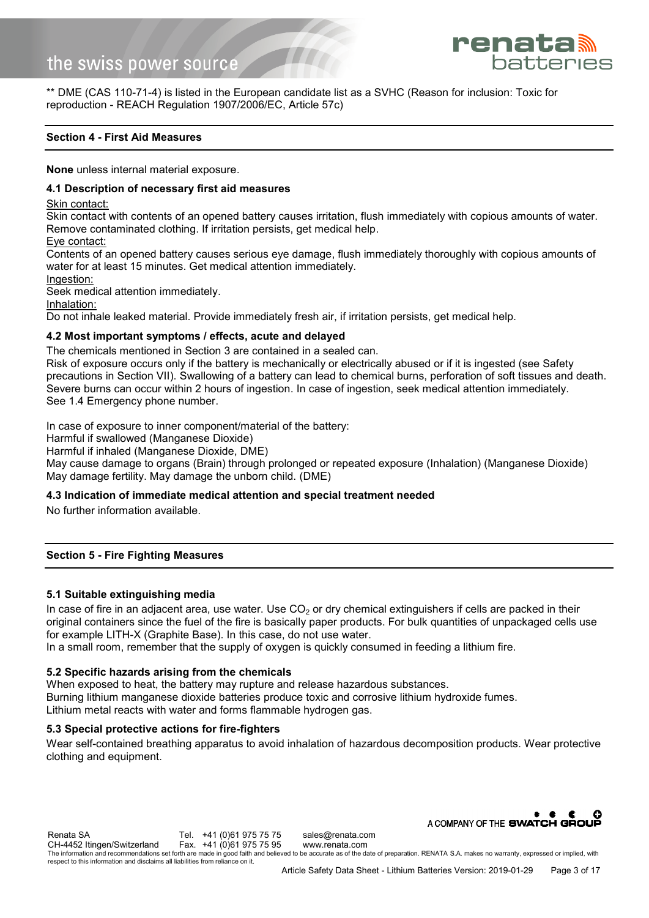

\*\* DME (CAS 110-71-4) is listed in the European candidate list as a SVHC (Reason for inclusion: Toxic for reproduction - REACH Regulation 1907/2006/EC, Article 57c)

## **Section 4 - First Aid Measures**

**None** unless internal material exposure.

## **4.1 Description of necessary first aid measures**

Skin contact:

Skin contact with contents of an opened battery causes irritation, flush immediately with copious amounts of water. Remove contaminated clothing. If irritation persists, get medical help.

Eye contact:

Contents of an opened battery causes serious eye damage, flush immediately thoroughly with copious amounts of water for at least 15 minutes. Get medical attention immediately.

Ingestion:

Seek medical attention immediately.

Inhalation:

Do not inhale leaked material. Provide immediately fresh air, if irritation persists, get medical help.

## **4.2 Most important symptoms / effects, acute and delayed**

The chemicals mentioned in Section 3 are contained in a sealed can.

Risk of exposure occurs only if the battery is mechanically or electrically abused or if it is ingested (see Safety precautions in Section VII). Swallowing of a battery can lead to chemical burns, perforation of soft tissues and death. Severe burns can occur within 2 hours of ingestion. In case of ingestion, seek medical attention immediately. See 1.4 Emergency phone number.

In case of exposure to inner component/material of the battery:

Harmful if swallowed (Manganese Dioxide)

Harmful if inhaled (Manganese Dioxide, DME)

May cause damage to organs (Brain) through prolonged or repeated exposure (Inhalation) (Manganese Dioxide) May damage fertility. May damage the unborn child. (DME)

## **4.3 Indication of immediate medical attention and special treatment needed**

No further information available.

## **Section 5 - Fire Fighting Measures**

## **5.1 Suitable extinguishing media**

In case of fire in an adjacent area, use water. Use  $CO<sub>2</sub>$  or dry chemical extinguishers if cells are packed in their original containers since the fuel of the fire is basically paper products. For bulk quantities of unpackaged cells use for example LITH-X (Graphite Base). In this case, do not use water.

In a small room, remember that the supply of oxygen is quickly consumed in feeding a lithium fire.

## **5.2 Specific hazards arising from the chemicals**

When exposed to heat, the battery may rupture and release hazardous substances. Burning lithium manganese dioxide batteries produce toxic and corrosive lithium hydroxide fumes. Lithium metal reacts with water and forms flammable hydrogen gas.

## **5.3 Special protective actions for fire-fighters**

Wear self-contained breathing apparatus to avoid inhalation of hazardous decomposition products. Wear protective clothing and equipment.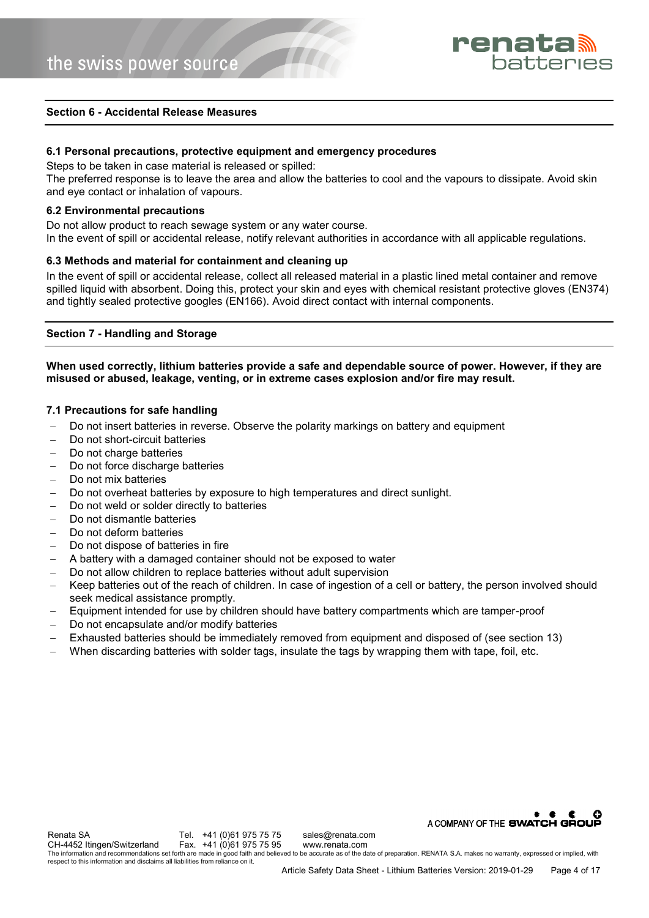

#### **Section 6 - Accidental Release Measures**

## **6.1 Personal precautions, protective equipment and emergency procedures**

Steps to be taken in case material is released or spilled:

The preferred response is to leave the area and allow the batteries to cool and the vapours to dissipate. Avoid skin and eye contact or inhalation of vapours.

#### **6.2 Environmental precautions**

Do not allow product to reach sewage system or any water course. In the event of spill or accidental release, notify relevant authorities in accordance with all applicable regulations.

## **6.3 Methods and material for containment and cleaning up**

In the event of spill or accidental release, collect all released material in a plastic lined metal container and remove spilled liquid with absorbent. Doing this, protect your skin and eyes with chemical resistant protective gloves (EN374) and tightly sealed protective googles (EN166). Avoid direct contact with internal components.

## **Section 7 - Handling and Storage**

## **When used correctly, lithium batteries provide a safe and dependable source of power. However, if they are misused or abused, leakage, venting, or in extreme cases explosion and/or fire may result.**

## **7.1 Precautions for safe handling**

- Do not insert batteries in reverse. Observe the polarity markings on battery and equipment
- Do not short-circuit batteries
- Do not charge batteries
- Do not force discharge batteries
- Do not mix batteries
- Do not overheat batteries by exposure to high temperatures and direct sunlight.
- Do not weld or solder directly to batteries
- Do not dismantle batteries
- Do not deform batteries
- Do not dispose of batteries in fire
- A battery with a damaged container should not be exposed to water
- Do not allow children to replace batteries without adult supervision
- Keep batteries out of the reach of children. In case of ingestion of a cell or battery, the person involved should seek medical assistance promptly.
- Equipment intended for use by children should have battery compartments which are tamper-proof
- Do not encapsulate and/or modify batteries
- Exhausted batteries should be immediately removed from equipment and disposed of (see section 13)
- When discarding batteries with solder tags, insulate the tags by wrapping them with tape, foil, etc.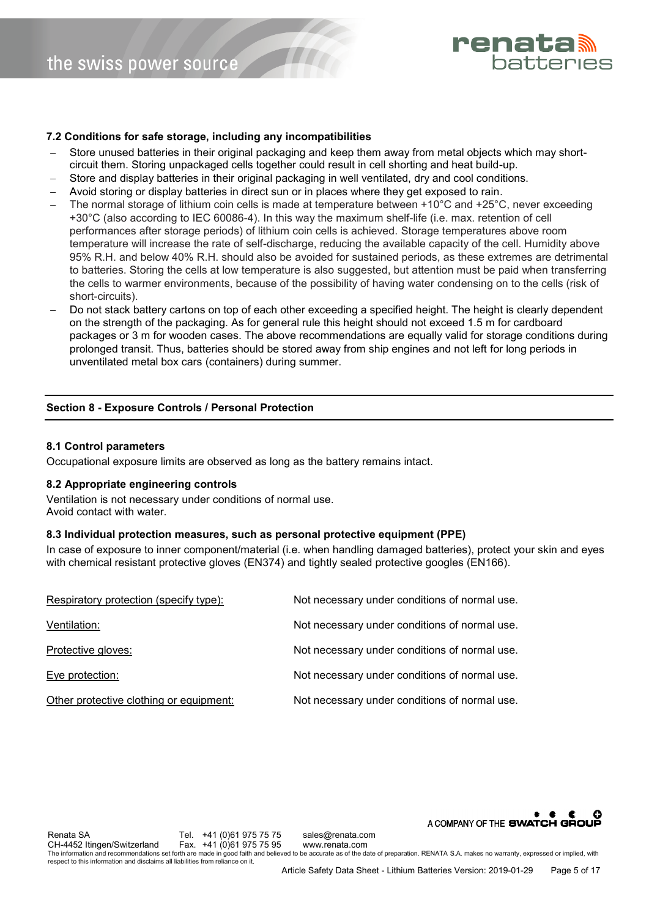

## **7.2 Conditions for safe storage, including any incompatibilities**

- Store unused batteries in their original packaging and keep them away from metal objects which may shortcircuit them. Storing unpackaged cells together could result in cell shorting and heat build-up.
- Store and display batteries in their original packaging in well ventilated, dry and cool conditions.
- Avoid storing or display batteries in direct sun or in places where they get exposed to rain.
- The normal storage of lithium coin cells is made at temperature between +10°C and +25°C, never exceeding +30°C (also according to IEC 60086-4). In this way the maximum shelf-life (i.e. max. retention of cell performances after storage periods) of lithium coin cells is achieved. Storage temperatures above room temperature will increase the rate of self-discharge, reducing the available capacity of the cell. Humidity above 95% R.H. and below 40% R.H. should also be avoided for sustained periods, as these extremes are detrimental to batteries. Storing the cells at low temperature is also suggested, but attention must be paid when transferring the cells to warmer environments, because of the possibility of having water condensing on to the cells (risk of short-circuits).
- Do not stack battery cartons on top of each other exceeding a specified height. The height is clearly dependent on the strength of the packaging. As for general rule this height should not exceed 1.5 m for cardboard packages or 3 m for wooden cases. The above recommendations are equally valid for storage conditions during prolonged transit. Thus, batteries should be stored away from ship engines and not left for long periods in unventilated metal box cars (containers) during summer.

## **Section 8 - Exposure Controls / Personal Protection**

## **8.1 Control parameters**

Occupational exposure limits are observed as long as the battery remains intact.

## **8.2 Appropriate engineering controls**

Ventilation is not necessary under conditions of normal use. Avoid contact with water.

#### **8.3 Individual protection measures, such as personal protective equipment (PPE)**

In case of exposure to inner component/material (i.e. when handling damaged batteries), protect your skin and eyes with chemical resistant protective gloves (EN374) and tightly sealed protective googles (EN166).

| Respiratory protection (specify type):  | Not necessary under conditions of normal use. |
|-----------------------------------------|-----------------------------------------------|
| Ventilation:                            | Not necessary under conditions of normal use. |
| Protective gloves:                      | Not necessary under conditions of normal use. |
| Eye protection:                         | Not necessary under conditions of normal use. |
| Other protective clothing or equipment: | Not necessary under conditions of normal use. |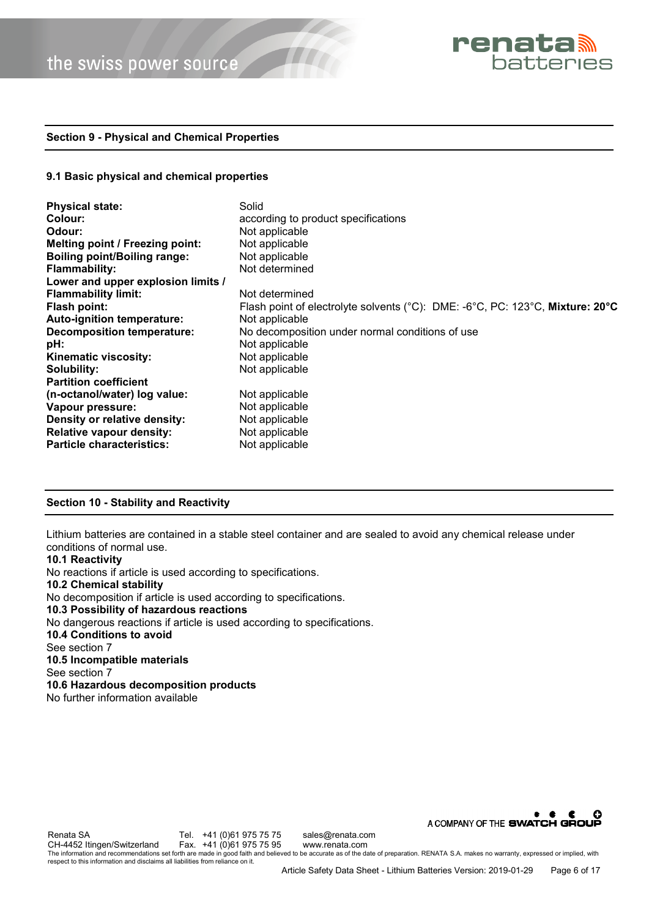

## **Section 9 - Physical and Chemical Properties**

#### **9.1 Basic physical and chemical properties**

| <b>Physical state:</b>              | Solid                                                                         |  |
|-------------------------------------|-------------------------------------------------------------------------------|--|
| Colour:                             | according to product specifications                                           |  |
| Odour:                              | Not applicable                                                                |  |
| Melting point / Freezing point:     | Not applicable                                                                |  |
| <b>Boiling point/Boiling range:</b> | Not applicable                                                                |  |
| <b>Flammability:</b>                | Not determined                                                                |  |
| Lower and upper explosion limits /  |                                                                               |  |
| <b>Flammability limit:</b>          | Not determined                                                                |  |
| Flash point:                        | Flash point of electrolyte solvents (°C): DME: -6°C, PC: 123°C, Mixture: 20°C |  |
| Auto-ignition temperature:          | Not applicable                                                                |  |
| <b>Decomposition temperature:</b>   | No decomposition under normal conditions of use                               |  |
| pH:                                 | Not applicable                                                                |  |
| Kinematic viscosity:                | Not applicable                                                                |  |
| Solubility:                         | Not applicable                                                                |  |
| <b>Partition coefficient</b>        |                                                                               |  |
| (n-octanol/water) log value:        | Not applicable                                                                |  |
| Vapour pressure:                    | Not applicable                                                                |  |
| Density or relative density:        | Not applicable                                                                |  |
| <b>Relative vapour density:</b>     | Not applicable                                                                |  |
| <b>Particle characteristics:</b>    | Not applicable                                                                |  |

## **Section 10 - Stability and Reactivity**

Lithium batteries are contained in a stable steel container and are sealed to avoid any chemical release under conditions of normal use.

## **10.1 Reactivity**  No reactions if article is used according to specifications. **10.2 Chemical stability**  No decomposition if article is used according to specifications. **10.3 Possibility of hazardous reactions**  No dangerous reactions if article is used according to specifications. **10.4 Conditions to avoid**  See section 7 **10.5 Incompatible materials**  See section 7 **10.6 Hazardous decomposition products**  No further information available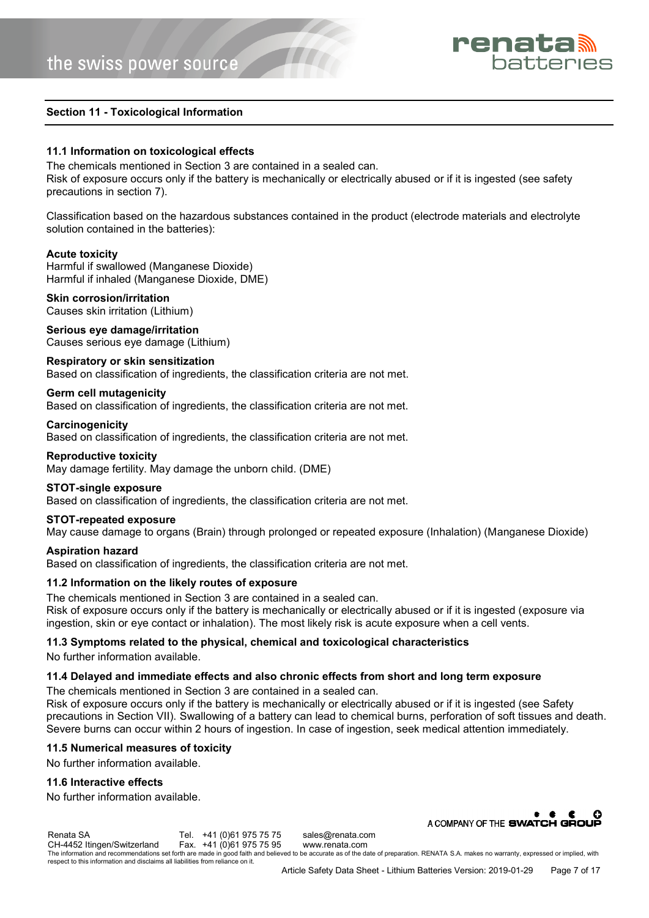

## **Section 11 - Toxicological Information**

## **11.1 Information on toxicological effects**

The chemicals mentioned in Section 3 are contained in a sealed can. Risk of exposure occurs only if the battery is mechanically or electrically abused or if it is ingested (see safety precautions in section 7).

Classification based on the hazardous substances contained in the product (electrode materials and electrolyte solution contained in the batteries):

## **Acute toxicity**

Harmful if swallowed (Manganese Dioxide) Harmful if inhaled (Manganese Dioxide, DME)

#### **Skin corrosion/irritation**

Causes skin irritation (Lithium)

## **Serious eye damage/irritation**

Causes serious eye damage (Lithium)

#### **Respiratory or skin sensitization**

Based on classification of ingredients, the classification criteria are not met.

## **Germ cell mutagenicity**

Based on classification of ingredients, the classification criteria are not met.

#### **Carcinogenicity**

Based on classification of ingredients, the classification criteria are not met.

## **Reproductive toxicity**

May damage fertility. May damage the unborn child. (DME)

## **STOT-single exposure**

Based on classification of ingredients, the classification criteria are not met.

#### **STOT-repeated exposure**

May cause damage to organs (Brain) through prolonged or repeated exposure (Inhalation) (Manganese Dioxide)

#### **Aspiration hazard**

Based on classification of ingredients, the classification criteria are not met.

## **11.2 Information on the likely routes of exposure**

The chemicals mentioned in Section 3 are contained in a sealed can. Risk of exposure occurs only if the battery is mechanically or electrically abused or if it is ingested (exposure via ingestion, skin or eye contact or inhalation). The most likely risk is acute exposure when a cell vents.

## **11.3 Symptoms related to the physical, chemical and toxicological characteristics**

No further information available.

## **11.4 Delayed and immediate effects and also chronic effects from short and long term exposure**

The chemicals mentioned in Section 3 are contained in a sealed can.

Risk of exposure occurs only if the battery is mechanically or electrically abused or if it is ingested (see Safety precautions in Section VII). Swallowing of a battery can lead to chemical burns, perforation of soft tissues and death. Severe burns can occur within 2 hours of ingestion. In case of ingestion, seek medical attention immediately.

## **11.5 Numerical measures of toxicity**

No further information available.

# **11.6 Interactive effects**

No further information available.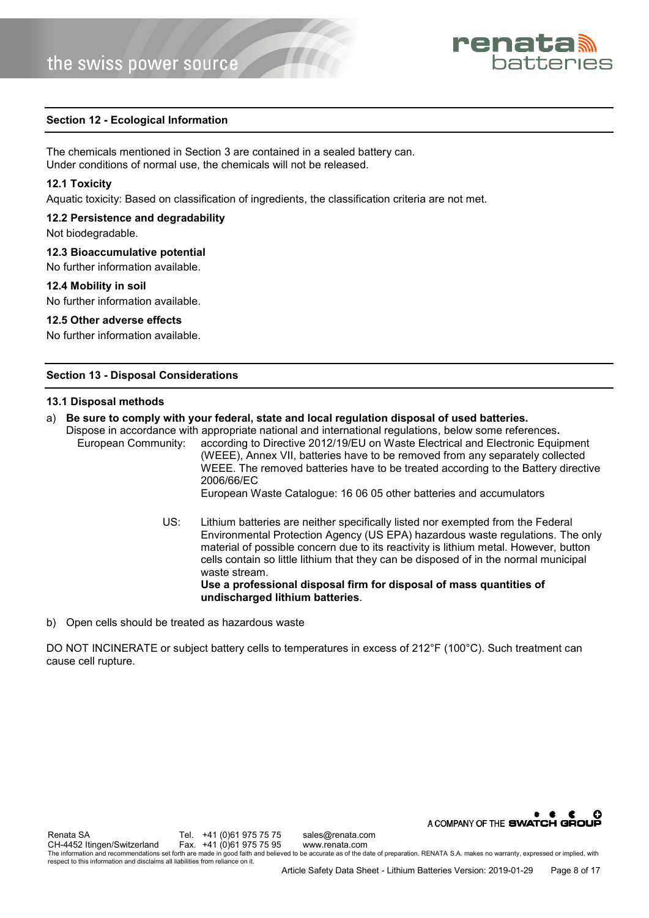

## **Section 12 - Ecological Information**

The chemicals mentioned in Section 3 are contained in a sealed battery can. Under conditions of normal use, the chemicals will not be released.

#### **12.1 Toxicity**

Aquatic toxicity: Based on classification of ingredients, the classification criteria are not met.

#### **12.2 Persistence and degradability**

Not biodegradable.

#### **12.3 Bioaccumulative potential**

No further information available.

## **12.4 Mobility in soil**

No further information available.

#### **12.5 Other adverse effects**

No further information available.

## **Section 13 - Disposal Considerations**

#### **13.1 Disposal methods**

a) **Be sure to comply with your federal, state and local regulation disposal of used batteries.**

Dispose in accordance with appropriate national and international regulations, below some references**.** European Community: according to Directive 2012/19/EU on Waste Electrical and Electronic Equipment (WEEE), Annex VII, batteries have to be removed from any separately collected WEEE. The removed batteries have to be treated according to the Battery directive 2006/66/EC European Waste Catalogue: 16 06 05 other batteries and accumulators

- US: Lithium batteries are neither specifically listed nor exempted from the Federal Environmental Protection Agency (US EPA) hazardous waste regulations. The only material of possible concern due to its reactivity is lithium metal. However, button cells contain so little lithium that they can be disposed of in the normal municipal waste stream. **Use a professional disposal firm for disposal of mass quantities of undischarged lithium batteries**.
- b) Open cells should be treated as hazardous waste

DO NOT INCINERATE or subject battery cells to temperatures in excess of 212°F (100°C). Such treatment can cause cell rupture.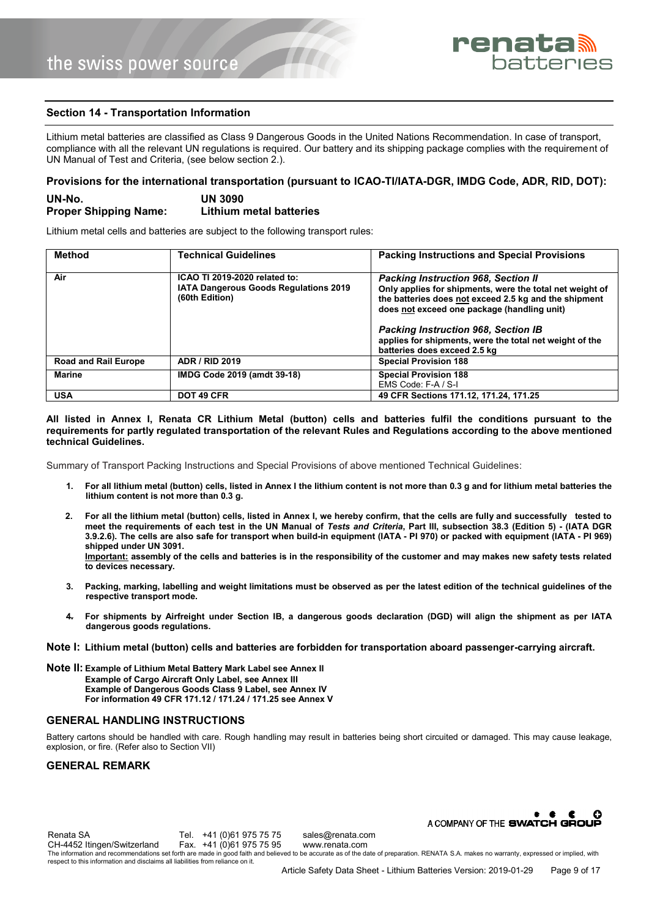

## **Section 14 - Transportation Information**

Lithium metal batteries are classified as Class 9 Dangerous Goods in the United Nations Recommendation. In case of transport, compliance with all the relevant UN regulations is required. Our battery and its shipping package complies with the requirement of UN Manual of Test and Criteria, (see below section 2.).

## **Provisions for the international transportation (pursuant to ICAO-TI/IATA-DGR, IMDG Code, ADR, RID, DOT):**

| UN-No.                       | <b>UN 3090</b>          |
|------------------------------|-------------------------|
| <b>Proper Shipping Name:</b> | Lithium metal batteries |

Lithium metal cells and batteries are subject to the following transport rules:

| <b>Method</b>               | <b>Technical Guidelines</b>                                                                     | <b>Packing Instructions and Special Provisions</b>                                                                                                                                                                                                                                                                                                      |
|-----------------------------|-------------------------------------------------------------------------------------------------|---------------------------------------------------------------------------------------------------------------------------------------------------------------------------------------------------------------------------------------------------------------------------------------------------------------------------------------------------------|
| Air                         | ICAO TI 2019-2020 related to:<br><b>IATA Dangerous Goods Regulations 2019</b><br>(60th Edition) | <b>Packing Instruction 968, Section II</b><br>Only applies for shipments, were the total net weight of<br>the batteries does not exceed 2.5 kg and the shipment<br>does not exceed one package (handling unit)<br><b>Packing Instruction 968, Section IB</b><br>applies for shipments, were the total net weight of the<br>batteries does exceed 2.5 kg |
| <b>Road and Rail Europe</b> | <b>ADR / RID 2019</b>                                                                           | <b>Special Provision 188</b>                                                                                                                                                                                                                                                                                                                            |
| <b>Marine</b>               | IMDG Code 2019 (amdt 39-18)                                                                     | <b>Special Provision 188</b><br>EMS Code: F-A / S-I                                                                                                                                                                                                                                                                                                     |
| <b>USA</b>                  | DOT 49 CFR                                                                                      | 49 CFR Sections 171.12, 171.24, 171.25                                                                                                                                                                                                                                                                                                                  |

#### **All listed in Annex I, Renata CR Lithium Metal (button) cells and batteries fulfil the conditions pursuant to the requirements for partly regulated transportation of the relevant Rules and Regulations according to the above mentioned technical Guidelines.**

Summary of Transport Packing Instructions and Special Provisions of above mentioned Technical Guidelines:

- **1. For all lithium metal (button) cells, listed in Annex I the lithium content is not more than 0.3 g and for lithium metal batteries the lithium content is not more than 0.3 g.**
- **2. For all the lithium metal (button) cells, listed in Annex I, we hereby confirm, that the cells are fully and successfully tested to meet the requirements of each test in the UN Manual of** *Tests and Criteria***, Part III, subsection 38.3 (Edition 5) - (IATA DGR 3.9.2.6). The cells are also safe for transport when build-in equipment (IATA - PI 970) or packed with equipment (IATA - PI 969) shipped under UN 3091. Important: assembly of the cells and batteries is in the responsibility of the customer and may makes new safety tests related to devices necessary.**
- **3. Packing, marking, labelling and weight limitations must be observed as per the latest edition of the technical guidelines of the respective transport mode.**
- **4. For shipments by Airfreight under Section IB, a dangerous goods declaration (DGD) will align the shipment as per IATA dangerous goods regulations.**
- **Note I: Lithium metal (button) cells and batteries are forbidden for transportation aboard passenger-carrying aircraft.**
- **Note II: Example of Lithium Metal Battery Mark Label see Annex II Example of Cargo Aircraft Only Label, see Annex III Example of Dangerous Goods Class 9 Label, see Annex IV For information 49 CFR 171.12 / 171.24 / 171.25 see Annex V**

#### **GENERAL HANDLING INSTRUCTIONS**

Battery cartons should be handled with care. Rough handling may result in batteries being short circuited or damaged. This may cause leakage, explosion, or fire. (Refer also to Section VII)

#### **GENERAL REMARK**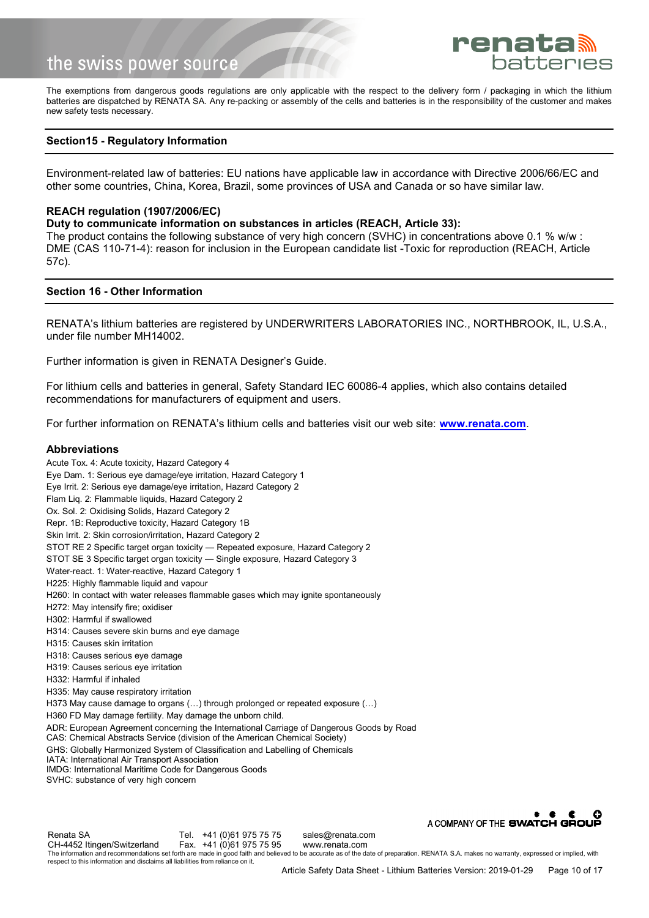

The exemptions from dangerous goods regulations are only applicable with the respect to the delivery form / packaging in which the lithium batteries are dispatched by RENATA SA. Any re-packing or assembly of the cells and batteries is in the responsibility of the customer and makes new safety tests necessary.

## **Section15 - Regulatory Information**

Environment-related law of batteries: EU nations have applicable law in accordance with Directive 2006/66/EC and other some countries, China, Korea, Brazil, some provinces of USA and Canada or so have similar law.

#### **REACH regulation (1907/2006/EC)**

**Duty to communicate information on substances in articles (REACH, Article 33):** 

The product contains the following substance of very high concern (SVHC) in concentrations above 0.1 % w/w : DME (CAS 110-71-4): reason for inclusion in the European candidate list -Toxic for reproduction (REACH, Article 57c).

#### **Section 16 - Other Information**

RENATA's lithium batteries are registered by UNDERWRITERS LABORATORIES INC., NORTHBROOK, IL, U.S.A., under file number MH14002.

Further information is given in RENATA Designer's Guide.

For lithium cells and batteries in general, Safety Standard IEC 60086-4 applies, which also contains detailed recommendations for manufacturers of equipment and users.

For further information on RENATA's lithium cells and batteries visit our web site: **[www.renata.com](http://www.renata.com/)**.

#### **Abbreviations**

Acute Tox. 4: Acute toxicity, Hazard Category 4 Eye Dam. 1: Serious eye damage/eye irritation, Hazard Category 1 Eye Irrit. 2: Serious eye damage/eye irritation, Hazard Category 2 Flam Liq. 2: Flammable liquids, Hazard Category 2 Ox. Sol. 2: Oxidising Solids, Hazard Category 2 Repr. 1B: Reproductive toxicity, Hazard Category 1B Skin Irrit. 2: Skin corrosion/irritation, Hazard Category 2 STOT RE 2 Specific target organ toxicity — Repeated exposure, Hazard Category 2 STOT SE 3 Specific target organ toxicity — Single exposure, Hazard Category 3 Water-react. 1: Water-reactive, Hazard Category 1 H225: Highly flammable liquid and vapour H260: In contact with water releases flammable gases which may ignite spontaneously H272: May intensify fire; oxidiser H302: Harmful if swallowed H314: Causes severe skin burns and eye damage H315: Causes skin irritation H318: Causes serious eye damage H319: Causes serious eye irritation H332: Harmful if inhaled H335: May cause respiratory irritation H373 May cause damage to organs (…) through prolonged or repeated exposure (…) H360 FD May damage fertility. May damage the unborn child. ADR: European Agreement concerning the International Carriage of Dangerous Goods by Road CAS: Chemical Abstracts Service (division of the American Chemical Society) GHS: Globally Harmonized System of Classification and Labelling of Chemicals IATA: International Air Transport Association IMDG: International Maritime Code for Dangerous Goods SVHC: substance of very high concern A COMPANY OF THE SWATCH GROUP

Renata SA Tel. +41 (0)61 975 75 Sales@renata.com<br>CH-4452 Itingen/Switzerland Fax. +41 (0)61 975 75 95 www.renata.com CH-4452 Itingen/Switzerland The information and recommendations set forth are made in good faith and believed to be accurate as of the date of preparation. RENATA S.A. makes no warranty, expressed or implied, with respect to this information and disclaims all liabilities from reliance on it.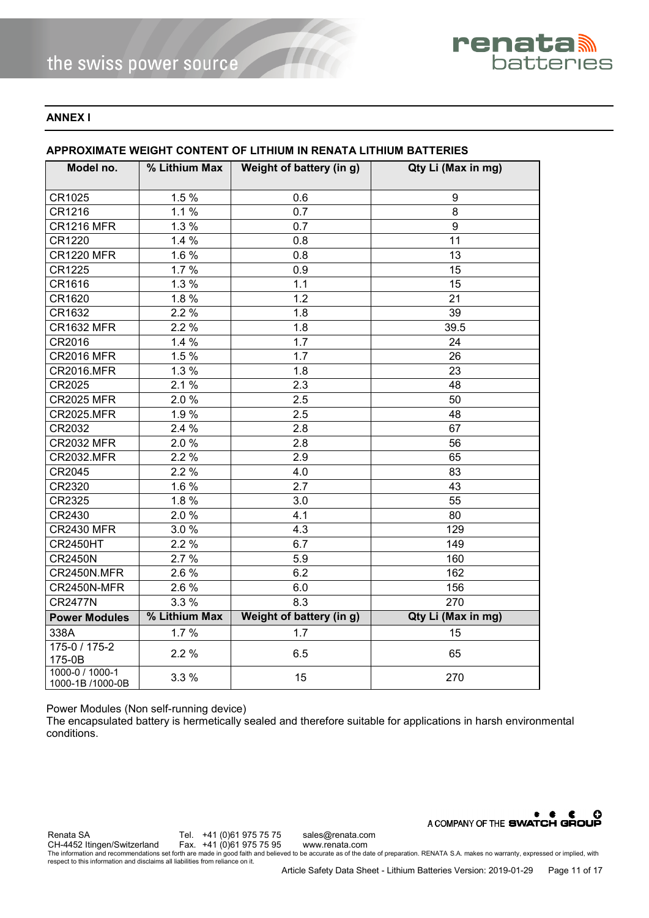

## **ANNEX I**

# **APPROXIMATE WEIGHT CONTENT OF LITHIUM IN RENATA LITHIUM BATTERIES**

| Model no.                           | % Lithium Max | Weight of battery (in g) | Qty Li (Max in mg) |
|-------------------------------------|---------------|--------------------------|--------------------|
|                                     |               |                          |                    |
| CR1025                              | 1.5%          | 0.6                      | 9                  |
| CR1216                              | 1.1%          | 0.7                      | 8                  |
| <b>CR1216 MFR</b>                   | 1.3%          | 0.7                      | 9                  |
| CR1220                              | 1.4%          | 0.8                      | 11                 |
| <b>CR1220 MFR</b>                   | 1.6 %         | 0.8                      | 13                 |
| CR1225                              | 1.7%          | 0.9                      | 15                 |
| CR1616                              | 1.3%          | 1.1                      | 15                 |
| CR1620                              | $1.8\%$       | 1.2                      | 21                 |
| CR1632                              | $2.2\%$       | 1.8                      | 39                 |
| <b>CR1632 MFR</b>                   | 2.2%          | 1.8                      | 39.5               |
| CR2016                              | 1.4%          | 1.7                      | 24                 |
| <b>CR2016 MFR</b>                   | $1.5\%$       | 1.7                      | 26                 |
| <b>CR2016.MFR</b>                   | 1.3%          | 1.8                      | 23                 |
| CR2025                              | 2.1%          | 2.3                      | 48                 |
| <b>CR2025 MFR</b>                   | 2.0%          | 2.5                      | 50                 |
| <b>CR2025.MFR</b>                   | 1.9%          | 2.5                      | 48                 |
| CR2032                              | 2.4 %         | 2.8                      | 67                 |
| <b>CR2032 MFR</b>                   | 2.0%          | 2.8                      | 56                 |
| <b>CR2032.MFR</b>                   | 2.2%          | 2.9                      | 65                 |
| CR2045                              | 2.2%          | 4.0                      | 83                 |
| CR2320                              | 1.6 %         | 2.7                      | 43                 |
| CR2325                              | 1.8%          | 3.0                      | 55                 |
| CR2430                              | 2.0%          | 4.1                      | 80                 |
| <b>CR2430 MFR</b>                   | 3.0%          | 4.3                      | 129                |
| <b>CR2450HT</b>                     | 2.2%          | 6.7                      | 149                |
| <b>CR2450N</b>                      | 2.7%          | 5.9                      | 160                |
| CR2450N.MFR                         | 2.6 %         | 6.2                      | 162                |
| CR2450N-MFR                         | 2.6 %         | 6.0                      | 156                |
| <b>CR2477N</b>                      | 3.3 %         | 8.3                      | 270                |
| <b>Power Modules</b>                | % Lithium Max | Weight of battery (in g) | Qty Li (Max in mg) |
| 338A                                | 1.7%          | 1.7                      | 15                 |
| 175-0 / 175-2                       | 2.2%          | 6.5                      | 65                 |
| 175-0B                              |               |                          |                    |
| 1000-0 / 1000-1<br>1000-1B /1000-0B | 3.3%          | 15                       | 270                |

Power Modules (Non self-running device)

The encapsulated battery is hermetically sealed and therefore suitable for applications in harsh environmental conditions.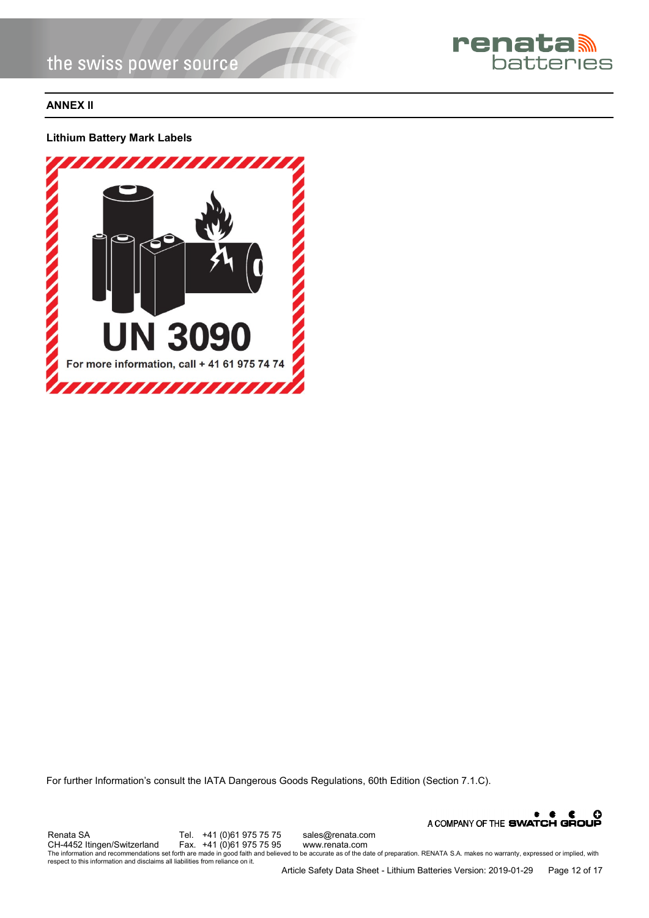

# **ANNEX II**

**Lithium Battery Mark Labels** 



For further Information's consult the IATA Dangerous Goods Regulations, 60th Edition (Section 7.1.C).

A COMPANY OF THE SWATCH GROUP Renata SA Tel. +41 (0)61 975 75 sales@renata.com<br>CH-4452 Itingen/Switzerland Fax. +41 (0)61 975 75 95 www.renata.com CH-4452 Itingen/Switzerland Fax. +41 (0)61 975 75 95 www.renata.com<br>The information and recommendations set forth are made in good faith and believed to be accurate as of the date of preparation. RENATA S.A. makes no warra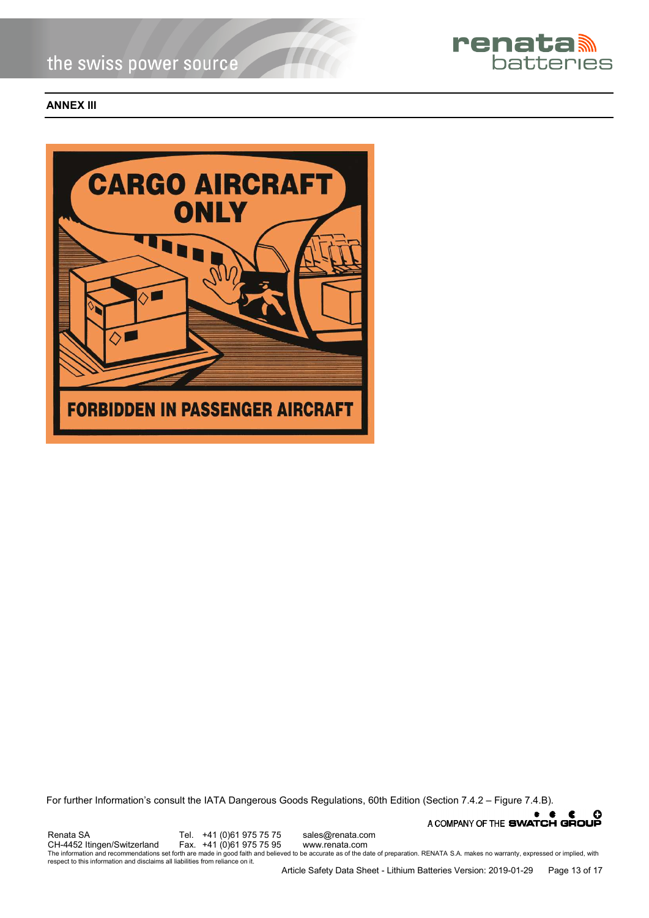

## **ANNEX III**



For further Information's consult the IATA Dangerous Goods Regulations, 60th Edition (Section 7.4.2 – Figure 7.4.B).

A COMPANY OF THE SWATCH GROUP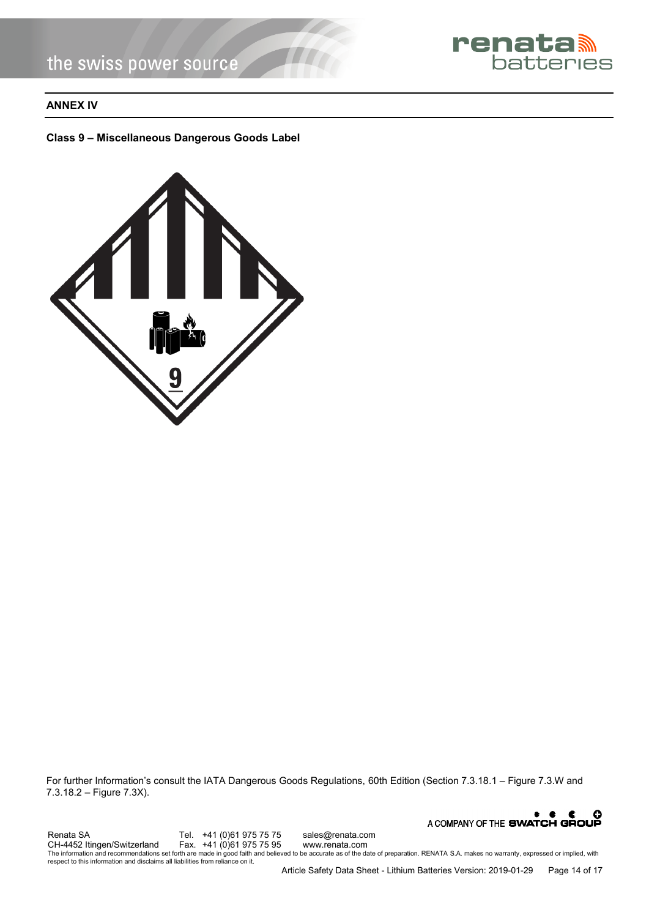

# **ANNEX IV**

## **Class 9 – Miscellaneous Dangerous Goods Label**



For further Information's consult the IATA Dangerous Goods Regulations, 60th Edition (Section 7.3.18.1 – Figure 7.3.W and 7.3.18.2 – Figure 7.3X).

A COMPANY OF THE SWATCH GROUP Renata SA Tel. +41 (0)61 975 75 sales@renata.com<br>CH-4452 Itingen/Switzerland Fax. +41 (0)61 975 75 95 www.renata.com CH-4452 Itingen/Switzerland Fax. +41 (0)61 975 75 95 www.renata.com<br>The information and recommendations set forth are made in good faith and believed to be accurate as of the date of preparation. RENATA S.A. makes no warra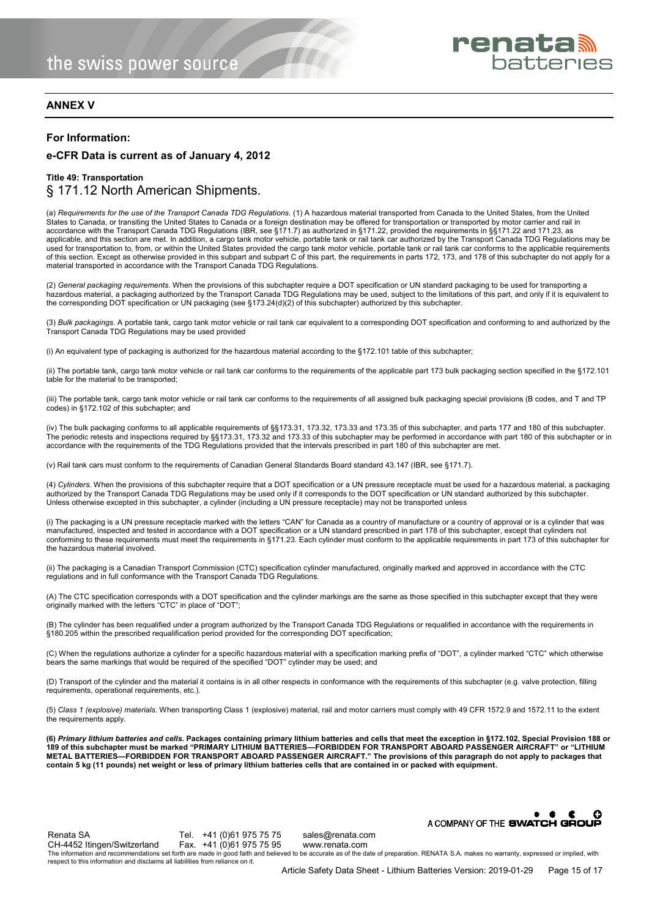

## **ANNEX V**

#### **For Information:**

## **e-CFR Data is current as of January 4, 2012**

## **Title 49: Transportation** § 171.12 North American Shipments.

(a) *Requirements for the use of the Transport Canada TDG Regulations.* (1) A hazardous material transported from Canada to the United States, from the United States to Canada, or transiting the United States to Canada or a foreign destination may be offered for transportation or transported by motor carrier and rail in accordance with the Transport Canada TDG Regulations (IBR, see §171.7) as authorized in §171.22, provided the requirements in §§171.22 and 171.23, as applicable, and this section are met. In addition, a cargo tank motor vehicle, portable tank or rail tank car authorized by the Transport Canada TDG Regulations may be used for transportation to, from, or within the United States provided the cargo tank motor vehicle, portable tank or rail tank car conforms to the applicable requirements of this section. Except as otherwise provided in this subpart and subpart C of this part, the requirements in parts 172, 173, and 178 of this subchapter do not apply for a material transported in accordance with the Transport Canada TDG Regulations.

(2) *General packaging requirements*. When the provisions of this subchapter require a DOT specification or UN standard packaging to be used for transporting a hazardous material, a packaging authorized by the Transport Canada TDG Regulations may be used, subject to the limitations of this part, and only if it is equivalent to the corresponding DOT specification or UN packaging (see §173.24(d)(2) of this subchapter) authorized by this subchapter.

(3) *Bulk packagings.* A portable tank, cargo tank motor vehicle or rail tank car equivalent to a corresponding DOT specification and conforming to and authorized by the Transport Canada TDG Regulations may be used provided

(i) An equivalent type of packaging is authorized for the hazardous material according to the §172.101 table of this subchapter;

(ii) The portable tank, cargo tank motor vehicle or rail tank car conforms to the requirements of the applicable part 173 bulk packaging section specified in the §172.101 table for the material to be transported;

(iii) The portable tank, cargo tank motor vehicle or rail tank car conforms to the requirements of all assigned bulk packaging special provisions (B codes, and T and TP codes) in §172.102 of this subchapter; and

(iv) The bulk packaging conforms to all applicable requirements of §§173.31, 173.32, 173.33 and 173.35 of this subchapter, and parts 177 and 180 of this subchapter. The periodic retests and inspections required by §§173.31, 173.32 and 173.33 of this subchapter may be performed in accordance with part 180 of this subchapter or in accordance with the requirements of the TDG Regulations provided that the intervals prescribed in part 180 of this subchapter are met.

(v) Rail tank cars must conform to the requirements of Canadian General Standards Board standard 43.147 (IBR, see §171.7).

(4) *Cylinders.* When the provisions of this subchapter require that a DOT specification or a UN pressure receptacle must be used for a hazardous material, a packaging authorized by the Transport Canada TDG Regulations may be used only if it corresponds to the DOT specification or UN standard authorized by this subchapter. Unless otherwise excepted in this subchapter, a cylinder (including a UN pressure receptacle) may not be transported unless

(i) The packaging is a UN pressure receptacle marked with the letters "CAN" for Canada as a country of manufacture or a country of approval or is a cylinder that was manufactured, inspected and tested in accordance with a DOT specification or a UN standard prescribed in part 178 of this subchapter, except that cylinders not conforming to these requirements must meet the requirements in §171.23. Each cylinder must conform to the applicable requirements in part 173 of this subchapter for the hazardous material involved.

(ii) The packaging is a Canadian Transport Commission (CTC) specification cylinder manufactured, originally marked and approved in accordance with the CTC regulations and in full conformance with the Transport Canada TDG Regulations.

(A) The CTC specification corresponds with a DOT specification and the cylinder markings are the same as those specified in this subchapter except that they were originally marked with the letters "CTC" in place of "DOT";

(B) The cylinder has been requalified under a program authorized by the Transport Canada TDG Regulations or requalified in accordance with the requirements in §180.205 within the prescribed requalification period provided for the corresponding DOT specification;

(C) When the regulations authorize a cylinder for a specific hazardous material with a specification marking prefix of "DOT", a cylinder marked "CTC" which otherwise<br>bears the same markings that would be required of the sp

(D) Transport of the cylinder and the material it contains is in all other respects in conformance with the requirements of this subchapter (e.g. valve protection, filling requirements, operational requirements, etc.).

(5) *Class 1 (explosive) materials*. When transporting Class 1 (explosive) material, rail and motor carriers must comply with 49 CFR 1572.9 and 1572.11 to the extent the requirements apply.

**(6)** *Primary lithium batteries and cells.* **Packages containing primary lithium batteries and cells that meet the exception in §172.102, Special Provision 188 or 189 of this subchapter must be marked "PRIMARY LITHIUM BATTERIES—FORBIDDEN FOR TRANSPORT ABOARD PASSENGER AIRCRAFT" or "LITHIUM METAL BATTERIES—FORBIDDEN FOR TRANSPORT ABOARD PASSENGER AIRCRAFT." The provisions of this paragraph do not apply to packages that contain 5 kg (11 pounds) net weight or less of primary lithium batteries cells that are contained in or packed with equipment.** 

A COMPANY OF THE SWATCH GROUP Renata SA Tel. +41 (0)61 975 75 75 sales@renata.com<br>CH-4452 Itingen/Switzerland Fax. +41 (0)61 975 75 95 www.renata.com CH-4452 Itingen/Switzerland The information and recommendations set forth are made in good faith and believed to be accurate as of the date of preparation. RENATA S.A. makes no warranty, expressed or implied, with respect to this information and disclaims all liabilities from reliance on it.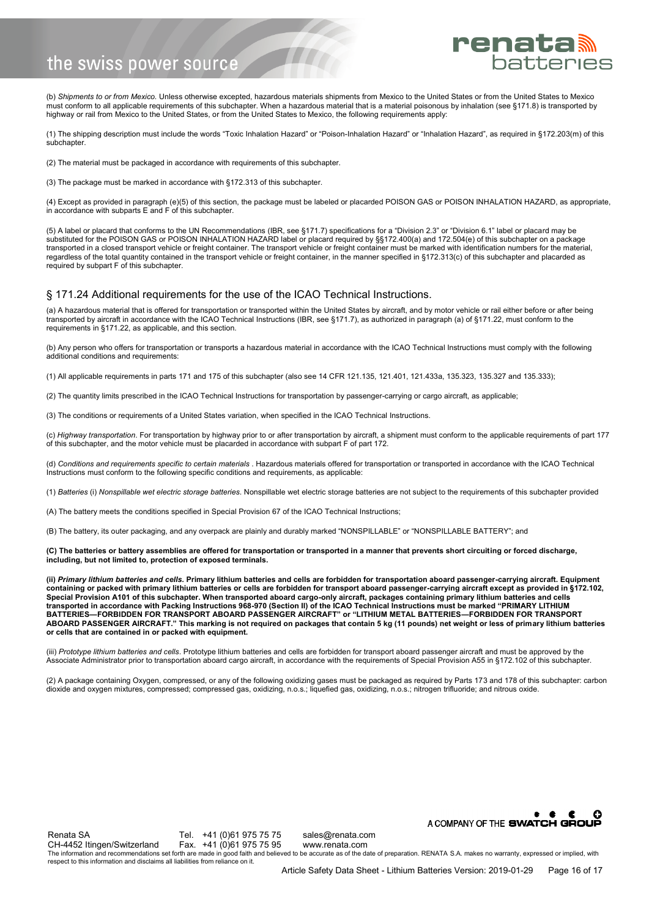

(b) *Shipments to or from Mexico.* Unless otherwise excepted, hazardous materials shipments from Mexico to the United States or from the United States to Mexico must conform to all applicable requirements of this subchapter. When a hazardous material that is a material poisonous by inhalation (see §171.8) is transported by<br>highway or rail from Mexico to the United States, or from

(1) The shipping description must include the words "Toxic Inhalation Hazard" or "Poison-Inhalation Hazard" or "Inhalation Hazard", as required in §172.203(m) of this subchapter

(2) The material must be packaged in accordance with requirements of this subchapter.

(3) The package must be marked in accordance with §172.313 of this subchapter.

(4) Except as provided in paragraph (e)(5) of this section, the package must be labeled or placarded POISON GAS or POISON INHALATION HAZARD, as appropriate, in accordance with subparts E and F of this subchapter.

(5) A label or placard that conforms to the UN Recommendations (IBR, see §171.7) specifications for a "Division 2.3" or "Division 6.1" label or placard may be substituted for the POISON GAS or POISON INHALATION HAZARD label or placard required by §§172.400(a) and 172.504(e) of this subchapter on a package transported in a closed transport vehicle or freight container. The transport vehicle or freight container must be marked with identification numbers for the material, regardless of the total quantity contained in the transport vehicle or freight container, in the manner specified in §172.313(c) of this subchapter and placarded as required by subpart F of this subchapter.

#### § 171.24 Additional requirements for the use of the ICAO Technical Instructions.

(a) A hazardous material that is offered for transportation or transported within the United States by aircraft, and by motor vehicle or rail either before or after being transported by aircraft in accordance with the ICAO Technical Instructions (IBR, see §171.7), as authorized in paragraph (a) of §171.22, must conform to the requirements in §171.22, as applicable, and this section.

(b) Any person who offers for transportation or transports a hazardous material in accordance with the ICAO Technical Instructions must comply with the following additional conditions and requirements:

(1) All applicable requirements in parts 171 and 175 of this subchapter (also see 14 CFR 121.135, 121.401, 121.433a, 135.323, 135.327 and 135.333);

(2) The quantity limits prescribed in the ICAO Technical Instructions for transportation by passenger-carrying or cargo aircraft, as applicable;

(3) The conditions or requirements of a United States variation, when specified in the ICAO Technical Instructions.

(c) *Highway transportation*. For transportation by highway prior to or after transportation by aircraft, a shipment must conform to the applicable requirements of part 177 of this subchapter, and the motor vehicle must be placarded in accordance with subpart F of part 172.

(d) *Conditions and requirements specific to certain materials* . Hazardous materials offered for transportation or transported in accordance with the ICAO Technical Instructions must conform to the following specific conditions and requirements, as applicable:

(1) *Batteries* (i) *Nonspillable wet electric storage batteries*. Nonspillable wet electric storage batteries are not subject to the requirements of this subchapter provided

(A) The battery meets the conditions specified in Special Provision 67 of the ICAO Technical Instructions;

(B) The battery, its outer packaging, and any overpack are plainly and durably marked "NONSPILLABLE" or "NONSPILLABLE BATTERY"; and

**(C) The batteries or battery assemblies are offered for transportation or transported in a manner that prevents short circuiting or forced discharge, including, but not limited to, protection of exposed terminals.** 

**(ii)** *Primary lithium batteries and cells.* **Primary lithium batteries and cells are forbidden for transportation aboard passenger-carrying aircraft. Equipment containing or packed with primary lithium batteries or cells are forbidden for transport aboard passenger-carrying aircraft except as provided in §172.102, Special Provision A101 of this subchapter. When transported aboard cargo-only aircraft, packages containing primary lithium batteries and cells transported in accordance with Packing Instructions 968-970 (Section II) of the ICAO Technical Instructions must be marked "PRIMARY LITHIUM BATTERIES—FORBIDDEN FOR TRANSPORT ABOARD PASSENGER AIRCRAFT" or "LITHIUM METAL BATTERIES—FORBIDDEN FOR TRANSPORT ABOARD PASSENGER AIRCRAFT." This marking is not required on packages that contain 5 kg (11 pounds) net weight or less of primary lithium batteries or cells that are contained in or packed with equipment.** 

(iii) Prototype lithium batteries and cells. Prototype lithium batteries and cells are forbidden for transport aboard passenger aircraft and must be approved by the Associate Administrator prior to transportation aboard cargo aircraft, in accordance with the requirements of Special Provision A55 in §172.102 of this subchapter.

(2) A package containing Oxygen, compressed, or any of the following oxidizing gases must be packaged as required by Parts 173 and 178 of this subchapter: carbon dioxide and oxygen mixtures, compressed; compressed gas, oxidizing, n.o.s.; liquefied gas, oxidizing, n.o.s.; nitrogen trifluoride; and nitrous oxide.